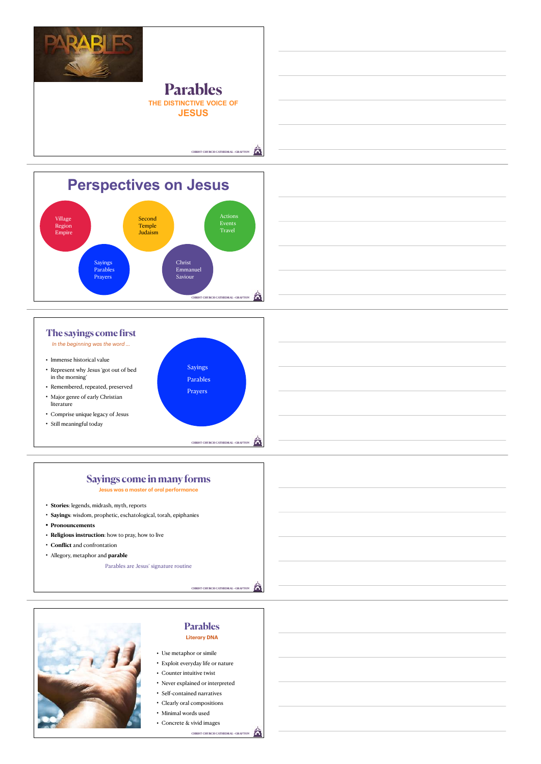



## **Parables Literary DNA**

- Use metaphor or simile • Exploit everyday life or nature
- Counter intuitive twist
- Never explained or interpreted
- Self-contained narratives
- Clearly oral compositions
- Minimal words used
- Concrete & vivid images

**CHRIST CHURCH CATHEDRAL • GRAFT**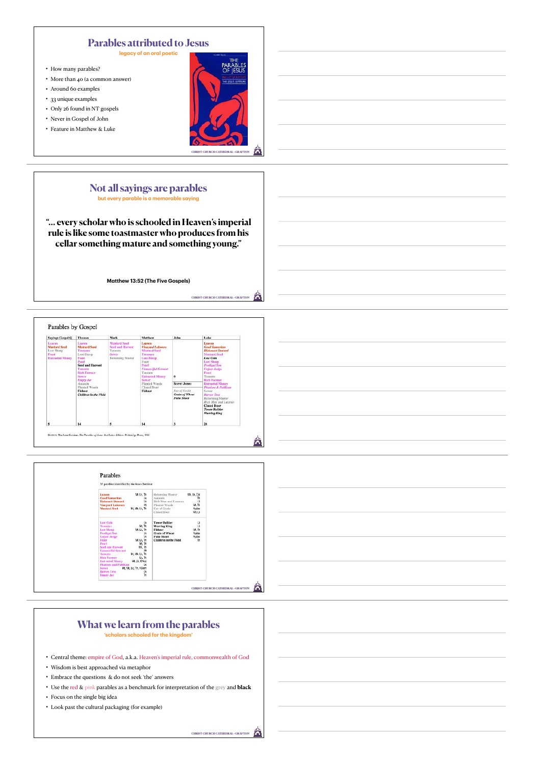## **Parables attributed to Jesus**

**legacy of an oral poetic**

- How many parables?
- More than 40 (a common answer)
- Around 60 examples
- 33 unique examples
- Only 26 found in NT gospels
- Never in Gospel of John
- Feature in Matthew & Luke



#### **Not all sayings are parables but every parable is a memorable saying**

**"… every scholar who is schooled in Heaven's imperial rule is like some toastmaster who produces from his cellar something mature and something young."**

**Matthew 13:52 (The Five Gospels)**







### **What we learn from the parables 'scholars schooled for the kingdom'**

- Central theme: empire of God, a.k.a. Heaven's imperial rule, commonwealth of God
- Wisdom is best approached via metaphor
- Embrace the questions & do not seek 'the' answers
- Use the red & pink parables as a benchmark for interpretation of the grey and **black**
- Focus on the single big idea
- Look past the cultural packaging (for example)

Â **CHRIST CHURCH CATHEDRAL • GRAFT**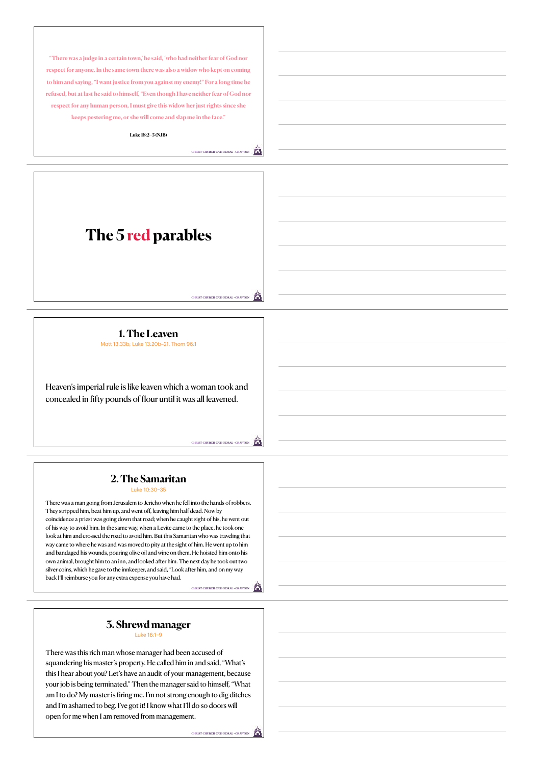**"There was a judge in a certain town,' he said, 'who had neither fear of God nor respect for anyone. In the same town there was also a widow who kept on coming to him and saying, "I want justice from you against my enemy!" For a long time he refused, but at last he said to himself, "Even though I have neither fear of God nor respect for any human person, I must give this widow her just rights since she keeps pestering me, or she will come and slap me in the face."**

**Luke 18:2–5 (NJB)**

**CHRIST CHURCH CATHEDRAL • GRAFTON**

# **The 5 red parables**

Â **CHRIST CHURCH CATHEDRAL • GRAFTON**

**CHRIST CHURCH CATHEDRAL • GRAFTON**

â

**CHRIST CHURCH CATHEDRAL • GRAFTON**

**1. The Leaven** Matt 13:33b; Luke 13:20b–21. Thom 96:1

Heaven's imperial rule is like leaven which a woman took and concealed in fifty pounds of flour until it was all leavened.

#### **2. The Samaritan** Luke 10:30–35

There was a man going from Jerusalem to Jericho when he fell into the hands of robbers. They stripped him, beat him up, and went off, leaving him half dead. Now by coincidence a priest was going down that road; when he caught sight of his, he went out of his way to avoid him. In the same way, when a Levite came to the place, he took one look at him and crossed the road to avoid him. But this Samaritan who was traveling that way came to where he was and was moved to pity at the sight of him. He went up to him and bandaged his wounds, pouring olive oil and wine on them. He hoisted him onto his own animal, brought him to an inn, and looked after him. The next day he took out two silver coins, which he gave to the innkeeper, and said, "Look after him, and on my way back I'll reimburse you for any extra expense you have had.

#### **3. Shrewd manager** Luke 16:1–9

There was this rich man whose manager had been accused of squandering his master's property. He called him in and said, "What's this I hear about you? Let's have an audit of your management, because your job is being terminated." Then the manager said to himself, "What am I to do? My master is firing me. I'm not strong enough to dig ditches and I'm ashamed to beg. I've got it! I know what I'll do so doors will open for me when I am removed from management.

**CHRIST CHURCH CATH**